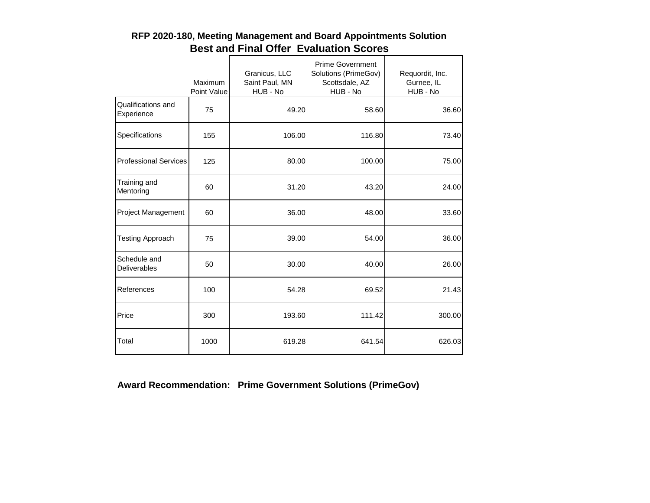|                                  | Maximum<br>Point Value | Granicus, LLC<br>Saint Paul, MN<br>HUB - No | <b>Prime Government</b><br>Solutions (PrimeGov)<br>Scottsdale, AZ<br>HUB - No | Requordit, Inc.<br>Gurnee, IL<br>HUB - No |
|----------------------------------|------------------------|---------------------------------------------|-------------------------------------------------------------------------------|-------------------------------------------|
| Qualifications and<br>Experience | 75                     | 49.20                                       | 58.60                                                                         | 36.60                                     |
| Specifications                   | 155                    | 106.00                                      | 116.80                                                                        | 73.40                                     |
| <b>Professional Services</b>     | 125                    | 80.00                                       | 100.00                                                                        | 75.00                                     |
| Training and<br>Mentoring        | 60                     | 31.20                                       | 43.20                                                                         | 24.00                                     |
| Project Management               | 60                     | 36.00                                       | 48.00                                                                         | 33.60                                     |
| <b>Testing Approach</b>          | 75                     | 39.00                                       | 54.00                                                                         | 36.00                                     |
| Schedule and<br>Deliverables     | 50                     | 30.00                                       | 40.00                                                                         | 26.00                                     |
| References                       | 100                    | 54.28                                       | 69.52                                                                         | 21.43                                     |
| Price                            | 300                    | 193.60                                      | 111.42                                                                        | 300.00                                    |
| Total                            | 1000                   | 619.28                                      | 641.54                                                                        | 626.03                                    |

## **RFP 2020-180, Meeting Management and Board Appointments Solution Best and Final Offer Evaluation Scores**

**Award Recommendation: Prime Government Solutions (PrimeGov)**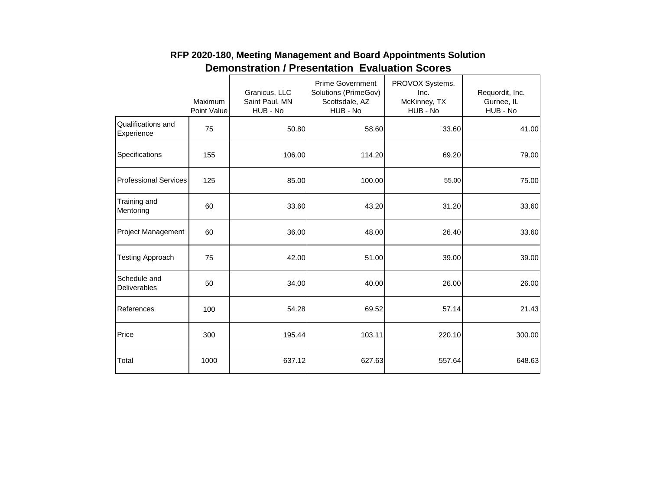|                                  | Maximum<br>Point Value | Granicus, LLC<br>Saint Paul, MN<br>HUB - No | <b>Prime Government</b><br>Solutions (PrimeGov)<br>Scottsdale, AZ<br>HUB - No | PROVOX Systems,<br>Inc.<br>McKinney, TX<br>HUB - No | Requordit, Inc.<br>Gurnee, IL<br>HUB - No |
|----------------------------------|------------------------|---------------------------------------------|-------------------------------------------------------------------------------|-----------------------------------------------------|-------------------------------------------|
| Qualifications and<br>Experience | 75                     | 50.80                                       | 58.60                                                                         | 33.60                                               | 41.00                                     |
| Specifications                   | 155                    | 106.00                                      | 114.20                                                                        | 69.20                                               | 79.00                                     |
| <b>Professional Services</b>     | 125                    | 85.00                                       | 100.00                                                                        | 55.00                                               | 75.00                                     |
| Training and<br>Mentoring        | 60                     | 33.60                                       | 43.20                                                                         | 31.20                                               | 33.60                                     |
| <b>Project Management</b>        | 60                     | 36.00                                       | 48.00                                                                         | 26.40                                               | 33.60                                     |
| <b>Testing Approach</b>          | 75                     | 42.00                                       | 51.00                                                                         | 39.00                                               | 39.00                                     |
| Schedule and<br>Deliverables     | 50                     | 34.00                                       | 40.00                                                                         | 26.00                                               | 26.00                                     |
| References                       | 100                    | 54.28                                       | 69.52                                                                         | 57.14                                               | 21.43                                     |
| Price                            | 300                    | 195.44                                      | 103.11                                                                        | 220.10                                              | 300.00                                    |
| Total                            | 1000                   | 637.12                                      | 627.63                                                                        | 557.64                                              | 648.63                                    |

## **RFP 2020-180, Meeting Management and Board Appointments Solution Demonstration / Presentation Evaluation Scores**